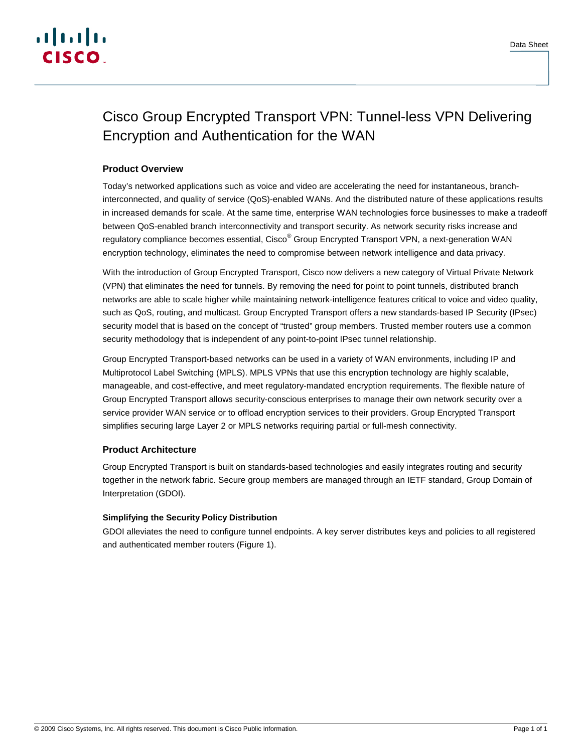

# Cisco Group Encrypted Transport VPN: Tunnel-less VPN Delivering Encryption and Authentication for the WAN

# **Product Overview**

Today's networked applications such as voice and video are accelerating the need for instantaneous, branchinterconnected, and quality of service (QoS)-enabled WANs. And the distributed nature of these applications results in increased demands for scale. At the same time, enterprise WAN technologies force businesses to make a tradeoff between QoS-enabled branch interconnectivity and transport security. As network security risks increase and regulatory compliance becomes essential, Cisco<sup>®</sup> Group Encrypted Transport VPN, a next-generation WAN encryption technology, eliminates the need to compromise between network intelligence and data privacy.

With the introduction of Group Encrypted Transport, Cisco now delivers a new category of Virtual Private Network (VPN) that eliminates the need for tunnels. By removing the need for point to point tunnels, distributed branch networks are able to scale higher while maintaining network-intelligence features critical to voice and video quality, such as QoS, routing, and multicast. Group Encrypted Transport offers a new standards-based IP Security (IPsec) security model that is based on the concept of "trusted" group members. Trusted member routers use a common security methodology that is independent of any point-to-point IPsec tunnel relationship.

Group Encrypted Transport-based networks can be used in a variety of WAN environments, including IP and Multiprotocol Label Switching (MPLS). MPLS VPNs that use this encryption technology are highly scalable, manageable, and cost-effective, and meet regulatory-mandated encryption requirements. The flexible nature of Group Encrypted Transport allows security-conscious enterprises to manage their own network security over a service provider WAN service or to offload encryption services to their providers. Group Encrypted Transport simplifies securing large Layer 2 or MPLS networks requiring partial or full-mesh connectivity.

# **Product Architecture**

Group Encrypted Transport is built on standards-based technologies and easily integrates routing and security together in the network fabric. Secure group members are managed through an IETF standard, Group Domain of Interpretation (GDOI).

# **Simplifying the Security Policy Distribution**

GDOI alleviates the need to configure tunnel endpoints. A key server distributes keys and policies to all registered and authenticated member routers (Figure 1).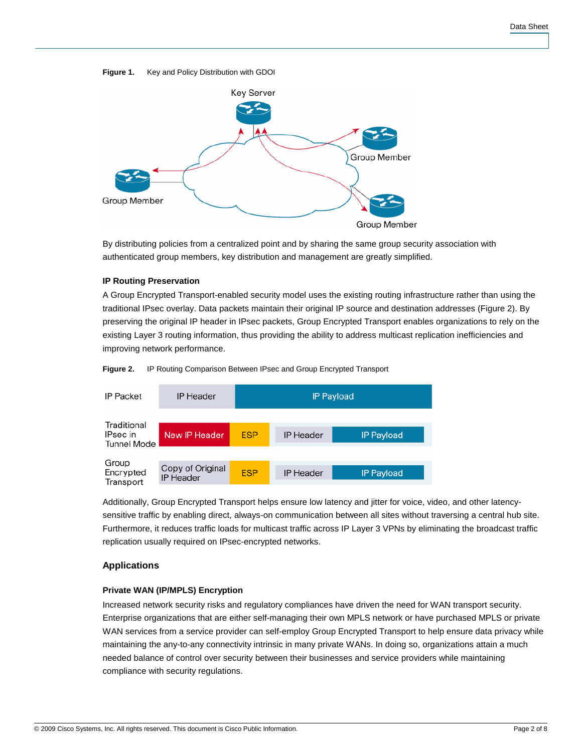#### **Figure 1.** Key and Policy Distribution with GDOI



By distributing policies from a centralized point and by sharing the same group security association with authenticated group members, key distribution and management are greatly simplified.

### **IP Routing Preservation**

A Group Encrypted Transport-enabled security model uses the existing routing infrastructure rather than using the traditional IPsec overlay. Data packets maintain their original IP source and destination addresses (Figure 2). By preserving the original IP header in IPsec packets, Group Encrypted Transport enables organizations to rely on the existing Layer 3 routing information, thus providing the ability to address multicast replication inefficiencies and improving network performance.

**Figure 2.** IP Routing Comparison Between IPsec and Group Encrypted Transport



Additionally, Group Encrypted Transport helps ensure low latency and jitter for voice, video, and other latencysensitive traffic by enabling direct, always-on communication between all sites without traversing a central hub site. Furthermore, it reduces traffic loads for multicast traffic across IP Layer 3 VPNs by eliminating the broadcast traffic replication usually required on IPsec-encrypted networks.

# **Applications**

### **Private WAN (IP/MPLS) Encryption**

Increased network security risks and regulatory compliances have driven the need for WAN transport security. Enterprise organizations that are either self-managing their own MPLS network or have purchased MPLS or private WAN services from a service provider can self-employ Group Encrypted Transport to help ensure data privacy while maintaining the any-to-any connectivity intrinsic in many private WANs. In doing so, organizations attain a much needed balance of control over security between their businesses and service providers while maintaining compliance with security regulations.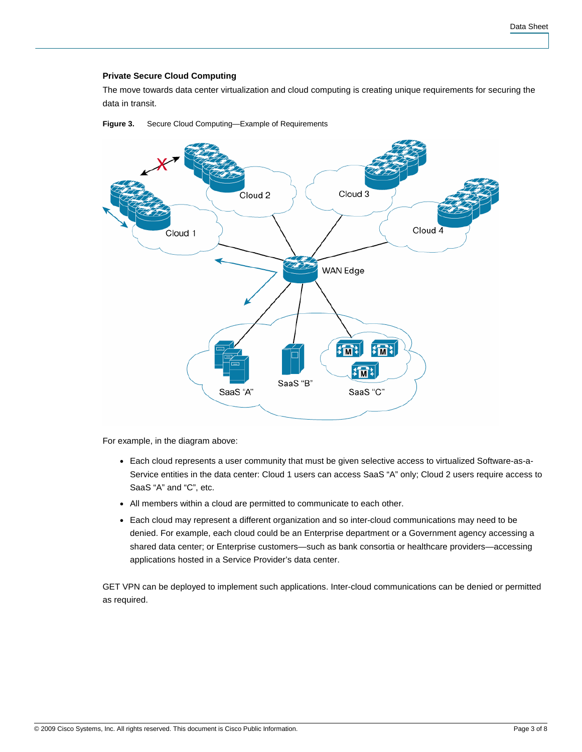# **Private Secure Cloud Computing**

The move towards data center virtualization and cloud computing is creating unique requirements for securing the data in transit.





For example, in the diagram above:

- Each cloud represents a user community that must be given selective access to virtualized Software-as-a-Service entities in the data center: Cloud 1 users can access SaaS "A" only; Cloud 2 users require access to SaaS "A" and "C", etc.
- All members within a cloud are permitted to communicate to each other.
- Each cloud may represent a different organization and so inter-cloud communications may need to be denied. For example, each cloud could be an Enterprise department or a Government agency accessing a shared data center; or Enterprise customers—such as bank consortia or healthcare providers—accessing applications hosted in a Service Provider's data center.

GET VPN can be deployed to implement such applications. Inter-cloud communications can be denied or permitted as required.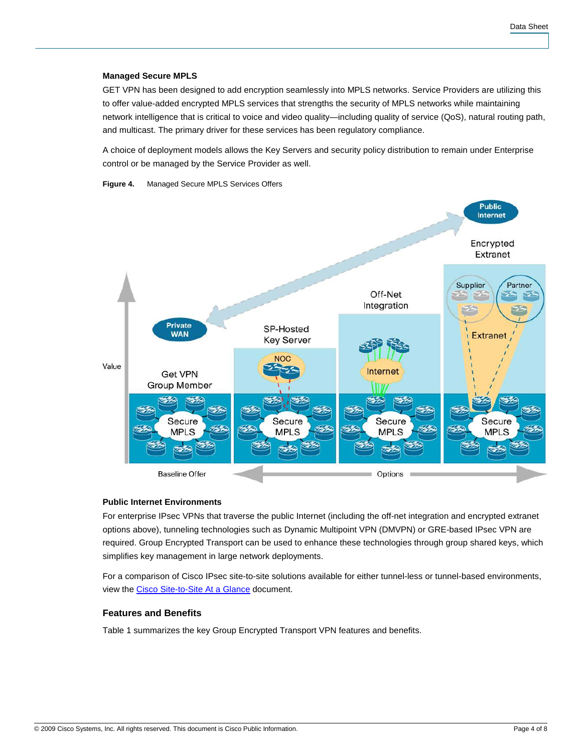## **Managed Secure MPLS**

GET VPN has been designed to add encryption seamlessly into MPLS networks. Service Providers are utilizing this to offer value-added encrypted MPLS services that strengths the security of MPLS networks while maintaining network intelligence that is critical to voice and video quality—including quality of service (QoS), natural routing path, and multicast. The primary driver for these services has been regulatory compliance.

A choice of deployment models allows the Key Servers and security policy distribution to remain under Enterprise control or be managed by the Service Provider as well.

**Figure 4.** Managed Secure MPLS Services Offers



# **Public Internet Environments**

For enterprise IPsec VPNs that traverse the public Internet (including the off-net integration and encrypted extranet options above), tunneling technologies such as Dynamic Multipoint VPN (DMVPN) or GRE-based IPsec VPN are required. Group Encrypted Transport can be used to enhance these technologies through group shared keys, which simplifies key management in large network deployments.

For a comparison of Cisco IPsec site-to-site solutions available for either tunnel-less or tunnel-based environments, view the [Cisco Site-to-Site At a Glance](http://www.cisco.com/en/US/prod/collateral/iosswrel/ps6537/ps6586/ps6635/ps7180/prod_brochure0900aecd80582078.pdf) document.

# **Features and Benefits**

Table 1 summarizes the key Group Encrypted Transport VPN features and benefits.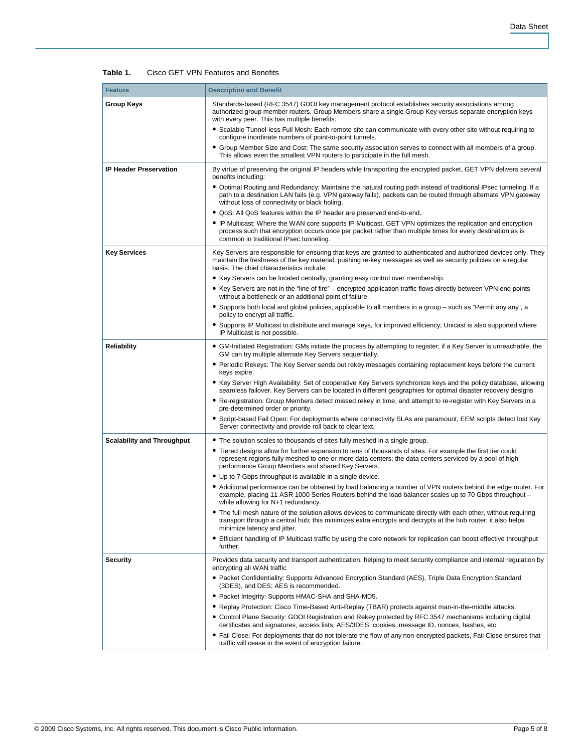| Feature                           | <b>Description and Benefit</b>                                                                                                                                                                                                                                                      |  |
|-----------------------------------|-------------------------------------------------------------------------------------------------------------------------------------------------------------------------------------------------------------------------------------------------------------------------------------|--|
| <b>Group Keys</b>                 | Standards-based (RFC 3547) GDOI key management protocol establishes security associations among<br>authorized group member routers. Group Members share a single Group Key versus separate encryption keys<br>with every peer. This has multiple benefits:                          |  |
|                                   | • Scalable Tunnel-less Full Mesh: Each remote site can communicate with every other site without requiring to<br>configure inordinate numbers of point-to-point tunnels.                                                                                                            |  |
|                                   | • Group Member Size and Cost: The same security association serves to connect with all members of a group.<br>This allows even the smallest VPN routers to participate in the full mesh.                                                                                            |  |
| <b>IP Header Preservation</b>     | By virtue of preserving the original IP headers while transporting the encrypted packet, GET VPN delivers several<br>benefits including:                                                                                                                                            |  |
|                                   | • Optimal Routing and Redundancy: Maintains the natural routing path instead of traditional IPsec tunneling. If a<br>path to a destination LAN fails (e.g. VPN gateway fails), packets can be routed through alternate VPN gateway<br>without loss of connectivity or black holing. |  |
|                                   | • QoS: All QoS features within the IP header are preserved end-to-end.                                                                                                                                                                                                              |  |
|                                   | • IP Multicast: Where the WAN core supports IP Multicast, GET VPN optimizes the replication and encryption<br>process such that encryption occurs once per packet rather than multiple times for every destination as is<br>common in traditional IPsec tunneling.                  |  |
| <b>Key Services</b>               | Key Servers are responsible for ensuring that keys are granted to authenticated and authorized devices only. They<br>maintain the freshness of the key material, pushing re-key messages as well as security policies on a regular<br>basis. The chief characteristics include:     |  |
|                                   | • Key Servers can be located centrally, granting easy control over membership.                                                                                                                                                                                                      |  |
|                                   | • Key Servers are not in the "line of fire" – encrypted application traffic flows directly between VPN end points<br>without a bottleneck or an additional point of failure.                                                                                                        |  |
|                                   | • Supports both local and global policies, applicable to all members in a group – such as "Permit any any", a<br>policy to encrypt all traffic.                                                                                                                                     |  |
|                                   | • Supports IP Multicast to distribute and manage keys, for improved efficiency; Unicast is also supported where<br>IP Multicast is not possible.                                                                                                                                    |  |
| <b>Reliability</b>                | • GM-Initiated Registration: GMs initiate the process by attempting to register; if a Key Server is unreachable, the<br>GM can try multiple alternate Key Servers sequentially.                                                                                                     |  |
|                                   | • Periodic Rekeys: The Key Server sends out rekey messages containing replacement keys before the current<br>keys expire.                                                                                                                                                           |  |
|                                   | • Key Server High Availability: Set of cooperative Key Servers synchronize keys and the policy database, allowing<br>seamless failover. Key Servers can be located in different geographies for optimal disaster recovery designs                                                   |  |
|                                   | • Re-registration: Group Members detect missed rekey in time, and attempt to re-register with Key Servers in a<br>pre-determined order or priority.                                                                                                                                 |  |
|                                   | • Script-based Fail Open: For deployments where connectivity SLAs are paramount, EEM scripts detect lost Key<br>Server connectivity and provide roll back to clear text.                                                                                                            |  |
| <b>Scalability and Throughput</b> | • The solution scales to thousands of sites fully meshed in a single group.                                                                                                                                                                                                         |  |
|                                   | • Tiered designs allow for further expansion to tens of thousands of sites. For example the first tier could<br>represent regions fully meshed to one or more data centers; the data centers serviced by a pool of high<br>performance Group Members and shared Key Servers.        |  |
|                                   | • Up to 7 Gbps throughput is available in a single device.                                                                                                                                                                                                                          |  |
|                                   | • Additional performance can be obtained by load balancing a number of VPN routers behind the edge router. For<br>example, placing 11 ASR 1000 Series Routers behind the load balancer scales up to 70 Gbps throughput -<br>while allowing for N+1 redundancy.                      |  |
|                                   | • The full mesh nature of the solution allows devices to communicate directly with each other, without requiring<br>transport through a central hub; this minimizes extra encrypts and decrypts at the hub router; it also helps<br>minimize latency and jitter.                    |  |
|                                   | • Efficient handling of IP Multicast traffic by using the core network for replication can boost effective throughput<br>further.                                                                                                                                                   |  |
| <b>Security</b>                   | Provides data security and transport authentication, helping to meet security compliance and internal regulation by<br>encrypting all WAN traffic                                                                                                                                   |  |
|                                   | • Packet Confidentiality: Supports Advanced Encryption Standard (AES), Triple Data Encryption Standard<br>(3DES), and DES; AES is recommended.                                                                                                                                      |  |
|                                   | • Packet Integrity: Supports HMAC-SHA and SHA-MD5.                                                                                                                                                                                                                                  |  |
|                                   | · Replay Protection: Cisco Time-Based Anti-Replay (TBAR) protects against man-in-the-middle attacks.                                                                                                                                                                                |  |
|                                   | • Control Plane Security: GDOI Registration and Rekey protected by RFC 3547 mechanisms including digital<br>certificates and signatures, access lists, AES/3DES, cookies, message ID, nonces, hashes, etc.                                                                          |  |
|                                   | • Fail Close: For deployments that do not tolerate the flow of any non-encrypted packets, Fail Close ensures that<br>traffic will cease in the event of encryption failure.                                                                                                         |  |

#### **Table 1.** Cisco GET VPN Features and Benefits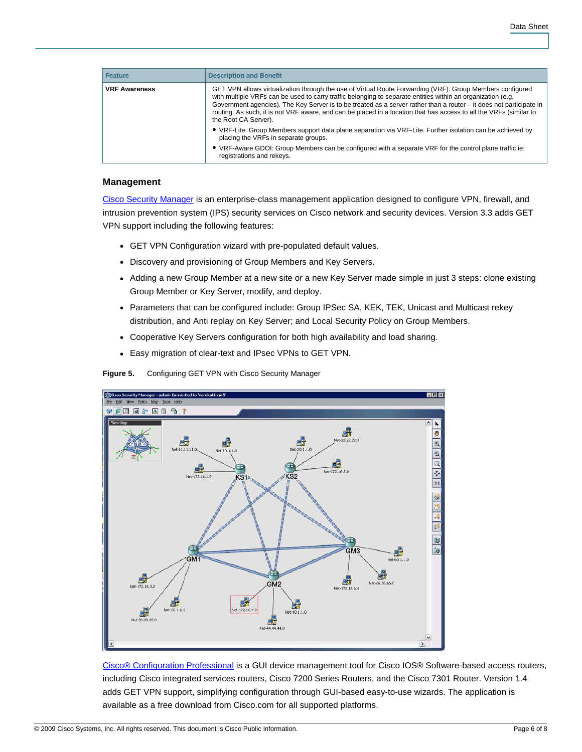| <b>Feature</b>       | <b>Description and Benefit</b>                                                                                                                                                                                                                                                                                                                                                                                                                                                                |
|----------------------|-----------------------------------------------------------------------------------------------------------------------------------------------------------------------------------------------------------------------------------------------------------------------------------------------------------------------------------------------------------------------------------------------------------------------------------------------------------------------------------------------|
| <b>VRF Awareness</b> | GET VPN allows virtualization through the use of Virtual Route Forwarding (VRF). Group Members configured<br>with multiple VRFs can be used to carry traffic belonging to separate entities within an organization (e.g.<br>Government agencies). The Key Server is to be treated as a server rather than a router – it does not participate in<br>routing. As such, it is not VRF aware, and can be placed in a location that has access to all the VRFs (similar to<br>the Root CA Server). |
|                      | • VRF-Lite: Group Members support data plane separation via VRF-Lite. Further isolation can be achieved by<br>placing the VRFs in separate groups.                                                                                                                                                                                                                                                                                                                                            |
|                      | • VRF-Aware GDOI: Group Members can be configured with a separate VRF for the control plane traffic ie:<br>registrations and rekeys.                                                                                                                                                                                                                                                                                                                                                          |

# **Management**

[Cisco Security Manager](http://www.cisco.com/go/csmanager) is an enterprise-class management application designed to configure VPN, firewall, and intrusion prevention system (IPS) security services on Cisco network and security devices. Version 3.3 adds GET VPN support including the following features:

- GET VPN Configuration wizard with pre-populated default values.
- Discovery and provisioning of Group Members and Key Servers.
- Adding a new Group Member at a new site or a new Key Server made simple in just 3 steps: clone existing Group Member or Key Server, modify, and deploy.
- Parameters that can be configured include: Group IPSec SA, KEK, TEK, Unicast and Multicast rekey distribution, and Anti replay on Key Server; and Local Security Policy on Group Members.
- Cooperative Key Servers configuration for both high availability and load sharing.
- Easy migration of clear-text and IPsec VPNs to GET VPN.

**Figure 5.** Configuring GET VPN with Cisco Security Manager



[Cisco® Configuration Professional](http://www.cisco.com/en/US/products/ps9422/index.html) is a GUI device management tool for Cisco IOS® Software-based access routers, including Cisco integrated services routers, Cisco 7200 Series Routers, and the Cisco 7301 Router. Version 1.4 adds GET VPN support, simplifying configuration through GUI-based easy-to-use wizards. The application is available as a free download from Cisco.com for all supported platforms.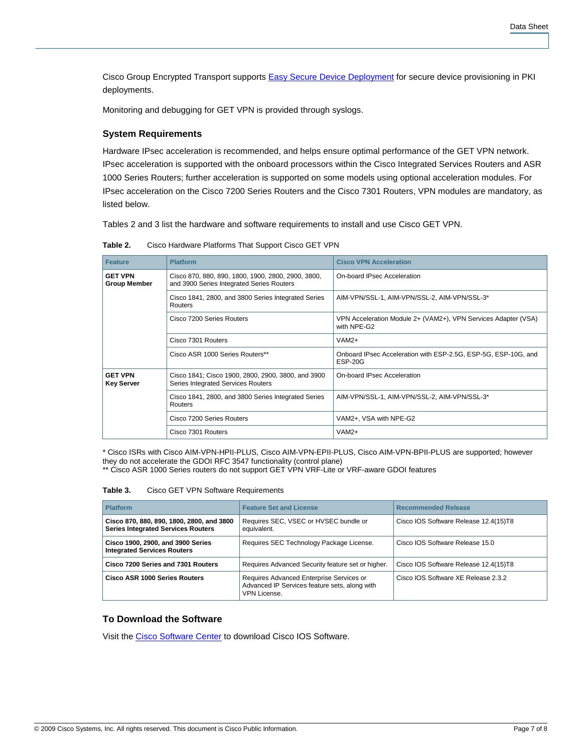Cisco Group Encrypted Transport supports [Easy Secure Device Deployment](http://www.cisco.com/en/US/products/ps6638/products_white_paper0900aecd80128d1f.shtml) for secure device provisioning in PKI deployments.

Monitoring and debugging for GET VPN is provided through syslogs.

# **System Requirements**

Hardware IPsec acceleration is recommended, and helps ensure optimal performance of the GET VPN network. IPsec acceleration is supported with the onboard processors within the Cisco Integrated Services Routers and ASR 1000 Series Routers; further acceleration is supported on some models using optional acceleration modules. For IPsec acceleration on the Cisco 7200 Series Routers and the Cisco 7301 Routers, VPN modules are mandatory, as listed below.

Tables 2 and 3 list the hardware and software requirements to install and use Cisco GET VPN.

| <b>Feature</b>                        | <b>Platform</b>                                                                                 | <b>Cisco VPN Acceleration</b>                                                 |
|---------------------------------------|-------------------------------------------------------------------------------------------------|-------------------------------------------------------------------------------|
| <b>GET VPN</b><br><b>Group Member</b> | Cisco 870, 880, 890, 1800, 1900, 2800, 2900, 3800,<br>and 3900 Series Integrated Series Routers | On-board IPsec Acceleration                                                   |
|                                       | Cisco 1841, 2800, and 3800 Series Integrated Series<br><b>Routers</b>                           | AIM-VPN/SSL-1, AIM-VPN/SSL-2, AIM-VPN/SSL-3*                                  |
|                                       | Cisco 7200 Series Routers                                                                       | VPN Acceleration Module 2+ (VAM2+), VPN Services Adapter (VSA)<br>with NPE-G2 |
|                                       | Cisco 7301 Routers                                                                              | $VAM2+$                                                                       |
|                                       | Cisco ASR 1000 Series Routers**                                                                 | Onboard IPsec Acceleration with ESP-2.5G, ESP-5G, ESP-10G, and<br>$ESP-20G$   |
| <b>GET VPN</b><br><b>Key Server</b>   | Cisco 1841; Cisco 1900, 2800, 2900, 3800, and 3900<br>Series Integrated Services Routers        | On-board IPsec Acceleration                                                   |
|                                       | Cisco 1841, 2800, and 3800 Series Integrated Series<br>Routers                                  | AIM-VPN/SSL-1, AIM-VPN/SSL-2, AIM-VPN/SSL-3*                                  |
|                                       | Cisco 7200 Series Routers                                                                       | VAM2+, VSA with NPE-G2                                                        |
|                                       | Cisco 7301 Routers                                                                              | $VAM2+$                                                                       |

**Table 2.** Cisco Hardware Platforms That Support Cisco GET VPN

\* Cisco ISRs with Cisco AIM-VPN-HPII-PLUS, Cisco AIM-VPN-EPII-PLUS, Cisco AIM-VPN-BPII-PLUS are supported; however they do not accelerate the GDOI RFC 3547 functionality (control plane) \*\* Cisco ASR 1000 Series routers do not support GET VPN VRF-Lite or VRF-aware GDOI features

**Table 3.** Cisco GET VPN Software Requirements

| <b>Platform</b>                                                                        | <b>Feature Set and License</b>                                                                                   | <b>Recommended Release</b>            |
|----------------------------------------------------------------------------------------|------------------------------------------------------------------------------------------------------------------|---------------------------------------|
| Cisco 870, 880, 890, 1800, 2800, and 3800<br><b>Series Integrated Services Routers</b> | Requires SEC, VSEC or HVSEC bundle or<br>equivalent.                                                             | Cisco IOS Software Release 12.4(15)T8 |
| Cisco 1900, 2900, and 3900 Series<br><b>Integrated Services Routers</b>                | Requires SEC Technology Package License.                                                                         | Cisco IOS Software Release 15.0       |
| Cisco 7200 Series and 7301 Routers                                                     | Requires Advanced Security feature set or higher.                                                                | Cisco IOS Software Release 12.4(15)T8 |
| Cisco ASR 1000 Series Routers                                                          | Requires Advanced Enterprise Services or<br>Advanced IP Services feature sets, along with<br><b>VPN License.</b> | Cisco IOS Software XE Release 2.3.2   |

### **To Download the Software**

Visit the [Cisco Software Center](http://www.cisco.com/public/sw-center/sw-ios.shtml) to download Cisco IOS Software.